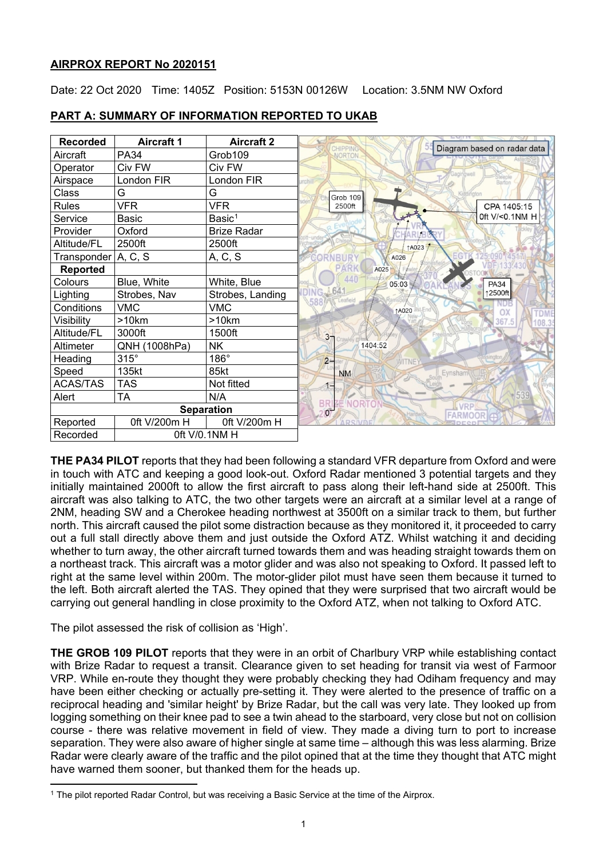# **AIRPROX REPORT No 2020151**

Date: 22 Oct 2020 Time: 1405Z Position: 5153N 00126W Location: 3.5NM NW Oxford

| <b>Recorded</b>       | <b>Aircraft 1</b> | <b>Aircraft 2</b>  | Diagram based on radar data               |
|-----------------------|-------------------|--------------------|-------------------------------------------|
| Aircraft              | <b>PA34</b>       | Grob109            | CHIPPING                                  |
| Operator              | Civ FW            | Civ FW             |                                           |
| Airspace              | London FIR        | London FIR         | Barton                                    |
| Class                 | G                 | G                  | Grob 109                                  |
| <b>Rules</b>          | <b>VFR</b>        | <b>VFR</b>         | CPA 1405:15<br>2500ft                     |
| Service               | Basic             | Basic <sup>1</sup> | 0ft V/<0.1NM H                            |
| Provider              | Oxford            | <b>Brize Radar</b> |                                           |
| Altitude/FL           | 2500ft            | 2500ft             | <b>1A023</b>                              |
| Transponder   A, C, S |                   | A, C, S            | A026                                      |
| <b>Reported</b>       |                   |                    | A025                                      |
| Colours               | Blue, White       | White, Blue        | 440<br>05:03<br><b>PA34</b>               |
| Lighting              | Strobes, Nav      | Strobes, Landing   | ↑2500ft<br>eafield                        |
| Conditions            | <b>VMC</b>        | <b>VMC</b>         | 1A020                                     |
| Visibility            | >10km             | >10km              |                                           |
| Altitude/FL           | 3000ft            | 1500ft             | 3 <sub>7</sub>                            |
| Altimeter             | QNH (1008hPa)     | NΚ                 | 1404:52                                   |
| Heading               | $315^\circ$       | $186^\circ$        | $2 -$<br><b>ITNEY</b>                     |
| Speed                 | 135kt             | 85kt               | Eynsham<br><b>NM</b>                      |
| <b>ACAS/TAS</b>       | <b>TAS</b>        | Not fitted         |                                           |
| Alert                 | <b>TA</b>         | N/A                | 539                                       |
| <b>Separation</b>     |                   |                    | <b>BRI</b><br>207<br><b>NORTON</b><br>VRP |
| Reported              | 0ft V/200m H      | 0ft V/200m H       |                                           |
| Recorded              | Oft V/0.1NM H     |                    |                                           |

# **PART A: SUMMARY OF INFORMATION REPORTED TO UKAB**

**THE PA34 PILOT** reports that they had been following a standard VFR departure from Oxford and were in touch with ATC and keeping a good look-out. Oxford Radar mentioned 3 potential targets and they initially maintained 2000ft to allow the first aircraft to pass along their left-hand side at 2500ft. This aircraft was also talking to ATC, the two other targets were an aircraft at a similar level at a range of 2NM, heading SW and a Cherokee heading northwest at 3500ft on a similar track to them, but further north. This aircraft caused the pilot some distraction because as they monitored it, it proceeded to carry out a full stall directly above them and just outside the Oxford ATZ. Whilst watching it and deciding whether to turn away, the other aircraft turned towards them and was heading straight towards them on a northeast track. This aircraft was a motor glider and was also not speaking to Oxford. It passed left to right at the same level within 200m. The motor-glider pilot must have seen them because it turned to the left. Both aircraft alerted the TAS. They opined that they were surprised that two aircraft would be carrying out general handling in close proximity to the Oxford ATZ, when not talking to Oxford ATC.

The pilot assessed the risk of collision as 'High'.

**THE GROB 109 PILOT** reports that they were in an orbit of Charlbury VRP while establishing contact with Brize Radar to request a transit. Clearance given to set heading for transit via west of Farmoor VRP. While en-route they thought they were probably checking they had Odiham frequency and may have been either checking or actually pre-setting it. They were alerted to the presence of traffic on a reciprocal heading and 'similar height' by Brize Radar, but the call was very late. They looked up from logging something on their knee pad to see a twin ahead to the starboard, very close but not on collision course - there was relative movement in field of view. They made a diving turn to port to increase separation. They were also aware of higher single at same time – although this was less alarming. Brize Radar were clearly aware of the traffic and the pilot opined that at the time they thought that ATC might have warned them sooner, but thanked them for the heads up.

<span id="page-0-0"></span><sup>1</sup> The pilot reported Radar Control, but was receiving a Basic Service at the time of the Airprox.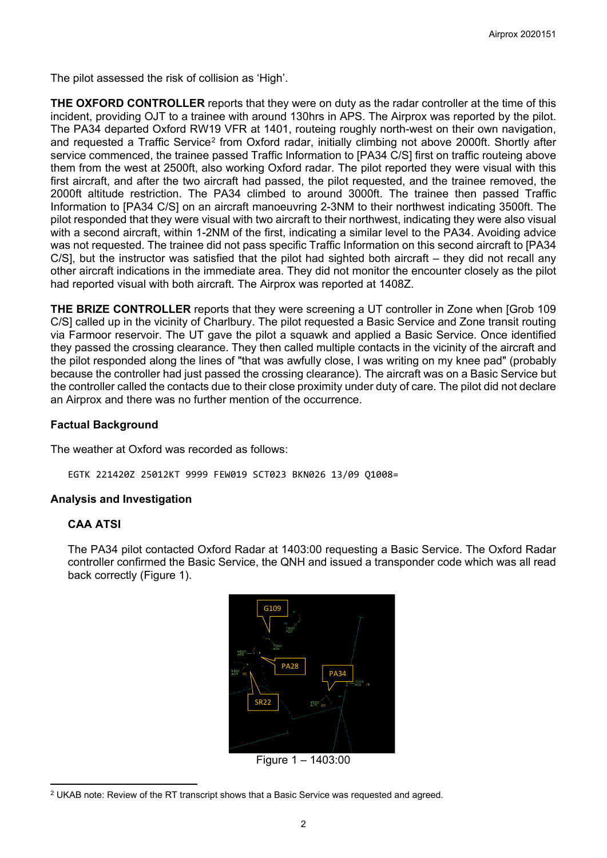The pilot assessed the risk of collision as 'High'.

**THE OXFORD CONTROLLER** reports that they were on duty as the radar controller at the time of this incident, providing OJT to a trainee with around 130hrs in APS. The Airprox was reported by the pilot. The PA34 departed Oxford RW19 VFR at 1401, routeing roughly north-west on their own navigation, and requested a Traffic Service<sup>[2](#page-1-0)</sup> from Oxford radar, initially climbing not above 2000ft. Shortly after service commenced, the trainee passed Traffic Information to [PA34 C/S] first on traffic routeing above them from the west at 2500ft, also working Oxford radar. The pilot reported they were visual with this first aircraft, and after the two aircraft had passed, the pilot requested, and the trainee removed, the 2000ft altitude restriction. The PA34 climbed to around 3000ft. The trainee then passed Traffic Information to [PA34 C/S] on an aircraft manoeuvring 2-3NM to their northwest indicating 3500ft. The pilot responded that they were visual with two aircraft to their northwest, indicating they were also visual with a second aircraft, within 1-2NM of the first, indicating a similar level to the PA34. Avoiding advice was not requested. The trainee did not pass specific Traffic Information on this second aircraft to [PA34 C/S], but the instructor was satisfied that the pilot had sighted both aircraft – they did not recall any other aircraft indications in the immediate area. They did not monitor the encounter closely as the pilot had reported visual with both aircraft. The Airprox was reported at 1408Z.

**THE BRIZE CONTROLLER** reports that they were screening a UT controller in Zone when [Grob 109 C/S] called up in the vicinity of Charlbury. The pilot requested a Basic Service and Zone transit routing via Farmoor reservoir. The UT gave the pilot a squawk and applied a Basic Service. Once identified they passed the crossing clearance. They then called multiple contacts in the vicinity of the aircraft and the pilot responded along the lines of "that was awfully close, I was writing on my knee pad" (probably because the controller had just passed the crossing clearance). The aircraft was on a Basic Service but the controller called the contacts due to their close proximity under duty of care. The pilot did not declare an Airprox and there was no further mention of the occurrence.

## **Factual Background**

The weather at Oxford was recorded as follows:

EGTK 221420Z 25012KT 9999 FEW019 SCT023 BKN026 13/09 Q1008=

## **Analysis and Investigation**

## **CAA ATSI**

The PA34 pilot contacted Oxford Radar at 1403:00 requesting a Basic Service. The Oxford Radar controller confirmed the Basic Service, the QNH and issued a transponder code which was all read back correctly (Figure 1).



Figure 1 – 1403:00

<span id="page-1-0"></span> $2$  UKAB note: Review of the RT transcript shows that a Basic Service was requested and agreed.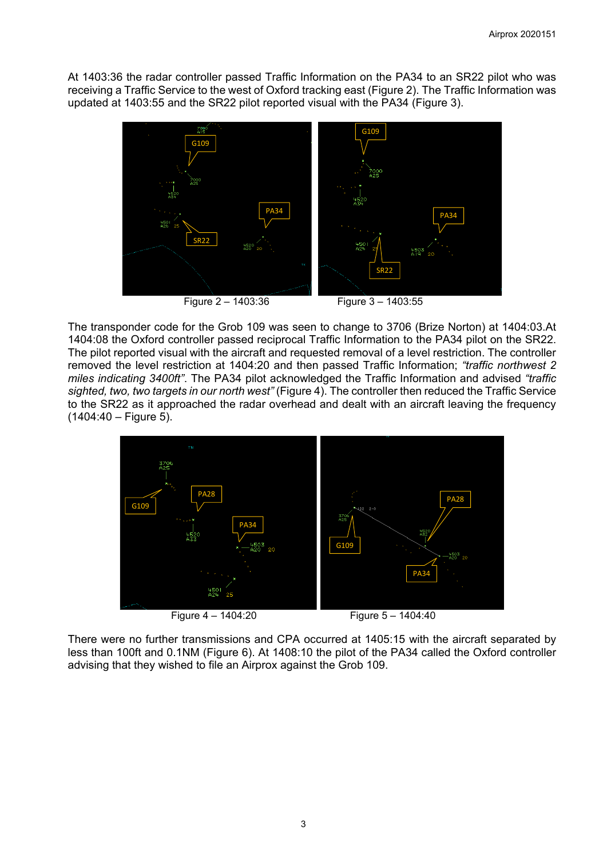At 1403:36 the radar controller passed Traffic Information on the PA34 to an SR22 pilot who was receiving a Traffic Service to the west of Oxford tracking east (Figure 2). The Traffic Information was updated at 1403:55 and the SR22 pilot reported visual with the PA34 (Figure 3).



The transponder code for the Grob 109 was seen to change to 3706 (Brize Norton) at 1404:03.At 1404:08 the Oxford controller passed reciprocal Traffic Information to the PA34 pilot on the SR22. The pilot reported visual with the aircraft and requested removal of a level restriction. The controller removed the level restriction at 1404:20 and then passed Traffic Information; *"traffic northwest 2 miles indicating 3400ft"*. The PA34 pilot acknowledged the Traffic Information and advised *"traffic sighted, two, two targets in our north west"* (Figure 4). The controller then reduced the Traffic Service to the SR22 as it approached the radar overhead and dealt with an aircraft leaving the frequency (1404:40 – Figure 5).



There were no further transmissions and CPA occurred at 1405:15 with the aircraft separated by less than 100ft and 0.1NM (Figure 6). At 1408:10 the pilot of the PA34 called the Oxford controller advising that they wished to file an Airprox against the Grob 109.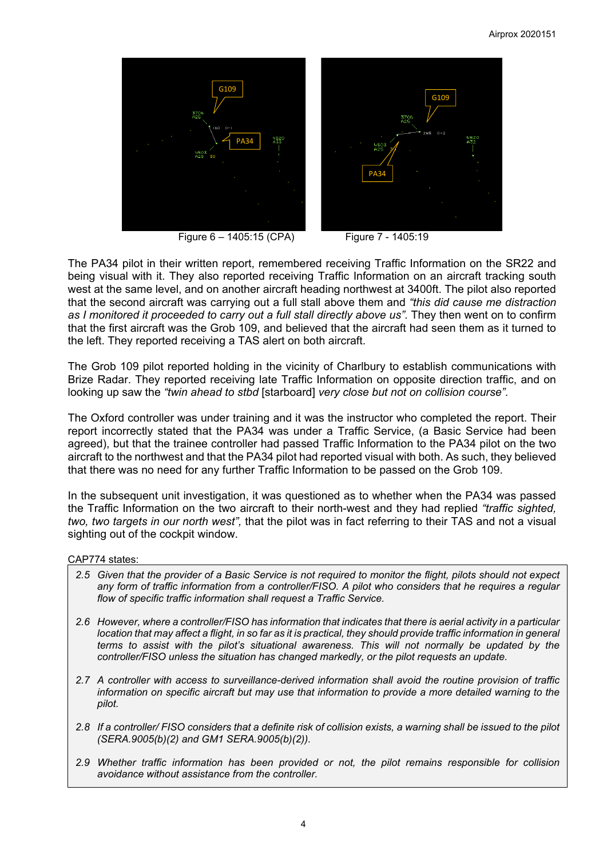

Figure 6 – 1405:15 (CPA) Figure 7 - 1405:19

The PA34 pilot in their written report, remembered receiving Traffic Information on the SR22 and being visual with it. They also reported receiving Traffic Information on an aircraft tracking south west at the same level, and on another aircraft heading northwest at 3400ft. The pilot also reported that the second aircraft was carrying out a full stall above them and *"this did cause me distraction*  as I monitored it proceeded to carry out a full stall directly above us". They then went on to confirm that the first aircraft was the Grob 109, and believed that the aircraft had seen them as it turned to the left. They reported receiving a TAS alert on both aircraft.

The Grob 109 pilot reported holding in the vicinity of Charlbury to establish communications with Brize Radar. They reported receiving late Traffic Information on opposite direction traffic, and on looking up saw the *"twin ahead to stbd* [starboard] *very close but not on collision course".*

The Oxford controller was under training and it was the instructor who completed the report. Their report incorrectly stated that the PA34 was under a Traffic Service, (a Basic Service had been agreed), but that the trainee controller had passed Traffic Information to the PA34 pilot on the two aircraft to the northwest and that the PA34 pilot had reported visual with both. As such, they believed that there was no need for any further Traffic Information to be passed on the Grob 109.

In the subsequent unit investigation, it was questioned as to whether when the PA34 was passed the Traffic Information on the two aircraft to their north-west and they had replied *"traffic sighted, two, two targets in our north west",* that the pilot was in fact referring to their TAS and not a visual sighting out of the cockpit window.

CAP774 states:

- *2.5 Given that the provider of a Basic Service is not required to monitor the flight, pilots should not expect any form of traffic information from a controller/FISO. A pilot who considers that he requires a regular flow of specific traffic information shall request a Traffic Service.*
- *2.6 However, where a controller/FISO has information that indicates that there is aerial activity in a particular location that may affect a flight, in so far as it is practical, they should provide traffic information in general terms to assist with the pilot's situational awareness. This will not normally be updated by the controller/FISO unless the situation has changed markedly, or the pilot requests an update.*
- *2.7 A controller with access to surveillance-derived information shall avoid the routine provision of traffic information on specific aircraft but may use that information to provide a more detailed warning to the pilot.*
- *2.8 If a controller/ FISO considers that a definite risk of collision exists, a warning shall be issued to the pilot (SERA.9005(b)(2) and GM1 SERA.9005(b)(2)).*
- *2.9 Whether traffic information has been provided or not, the pilot remains responsible for collision avoidance without assistance from the controller.*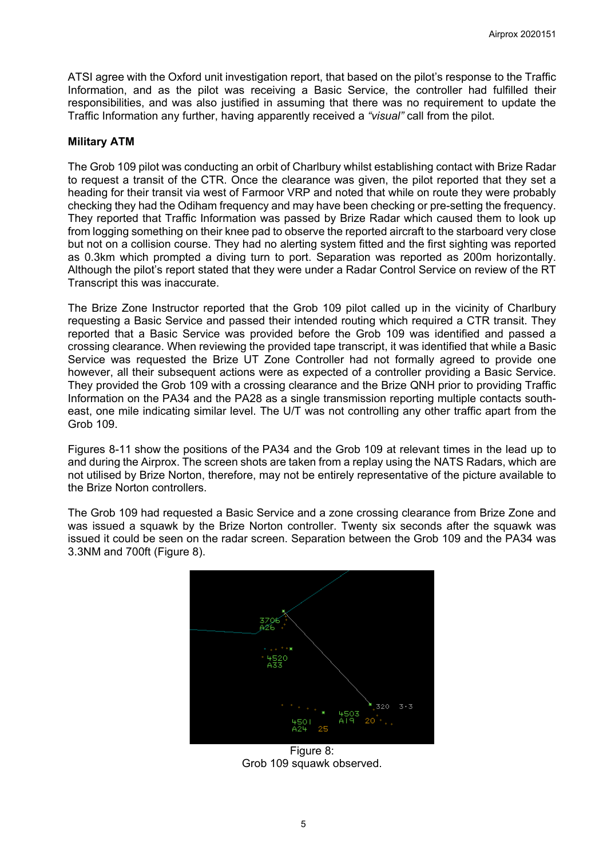ATSI agree with the Oxford unit investigation report, that based on the pilot's response to the Traffic Information, and as the pilot was receiving a Basic Service, the controller had fulfilled their responsibilities, and was also justified in assuming that there was no requirement to update the Traffic Information any further, having apparently received a *"visual"* call from the pilot.

# **Military ATM**

The Grob 109 pilot was conducting an orbit of Charlbury whilst establishing contact with Brize Radar to request a transit of the CTR. Once the clearance was given, the pilot reported that they set a heading for their transit via west of Farmoor VRP and noted that while on route they were probably checking they had the Odiham frequency and may have been checking or pre-setting the frequency. They reported that Traffic Information was passed by Brize Radar which caused them to look up from logging something on their knee pad to observe the reported aircraft to the starboard very close but not on a collision course. They had no alerting system fitted and the first sighting was reported as 0.3km which prompted a diving turn to port. Separation was reported as 200m horizontally. Although the pilot's report stated that they were under a Radar Control Service on review of the RT Transcript this was inaccurate.

The Brize Zone Instructor reported that the Grob 109 pilot called up in the vicinity of Charlbury requesting a Basic Service and passed their intended routing which required a CTR transit. They reported that a Basic Service was provided before the Grob 109 was identified and passed a crossing clearance. When reviewing the provided tape transcript, it was identified that while a Basic Service was requested the Brize UT Zone Controller had not formally agreed to provide one however, all their subsequent actions were as expected of a controller providing a Basic Service. They provided the Grob 109 with a crossing clearance and the Brize QNH prior to providing Traffic Information on the PA34 and the PA28 as a single transmission reporting multiple contacts southeast, one mile indicating similar level. The U/T was not controlling any other traffic apart from the Grob 109.

Figures 8-11 show the positions of the PA34 and the Grob 109 at relevant times in the lead up to and during the Airprox. The screen shots are taken from a replay using the NATS Radars, which are not utilised by Brize Norton, therefore, may not be entirely representative of the picture available to the Brize Norton controllers.

The Grob 109 had requested a Basic Service and a zone crossing clearance from Brize Zone and was issued a squawk by the Brize Norton controller. Twenty six seconds after the squawk was issued it could be seen on the radar screen. Separation between the Grob 109 and the PA34 was 3.3NM and 700ft (Figure 8).



Figure 8: Grob 109 squawk observed.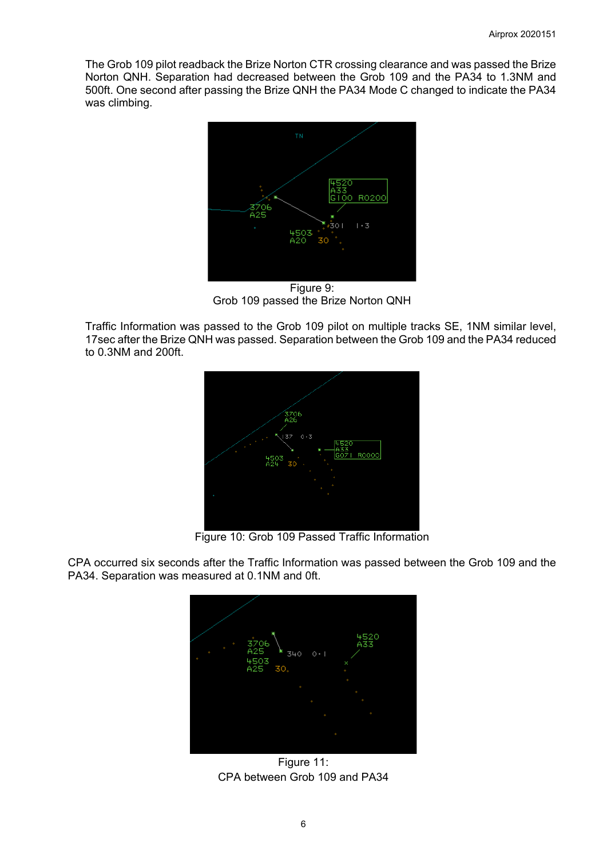The Grob 109 pilot readback the Brize Norton CTR crossing clearance and was passed the Brize Norton QNH. Separation had decreased between the Grob 109 and the PA34 to 1.3NM and 500ft. One second after passing the Brize QNH the PA34 Mode C changed to indicate the PA34 was climbing.



Figure 9: Grob 109 passed the Brize Norton QNH

Traffic Information was passed to the Grob 109 pilot on multiple tracks SE, 1NM similar level, 17sec after the Brize QNH was passed. Separation between the Grob 109 and the PA34 reduced to 0.3NM and 200ft.



Figure 10: Grob 109 Passed Traffic Information

CPA occurred six seconds after the Traffic Information was passed between the Grob 109 and the PA34. Separation was measured at 0.1NM and 0ft.



Figure 11: CPA between Grob 109 and PA34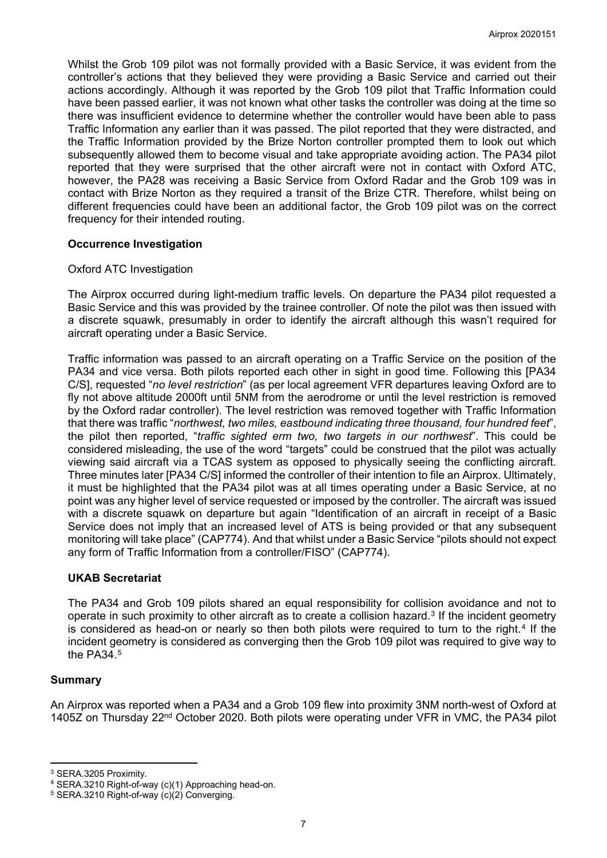Whilst the Grob 109 pilot was not formally provided with a Basic Service, it was evident from the controller's actions that they believed they were providing a Basic Service and carried out their actions accordingly. Although it was reported by the Grob 109 pilot that Traffic Information could have been passed earlier, it was not known what other tasks the controller was doing at the time so there was insufficient evidence to determine whether the controller would have been able to pass Traffic Information any earlier than it was passed. The pilot reported that they were distracted, and the Traffic Information provided by the Brize Norton controller prompted them to look out which subsequently allowed them to become visual and take appropriate avoiding action. The PA34 pilot reported that they were surprised that the other aircraft were not in contact with Oxford ATC, however, the PA28 was receiving a Basic Service from Oxford Radar and the Grob 109 was in contact with Brize Norton as they required a transit of the Brize CTR. Therefore, whilst being on different frequencies could have been an additional factor, the Grob 109 pilot was on the correct frequency for their intended routing.

## **Occurrence Investigation**

#### Oxford ATC Investigation

The Airprox occurred during light-medium traffic levels. On departure the PA34 pilot requested a Basic Service and this was provided by the trainee controller. Of note the pilot was then issued with a discrete squawk, presumably in order to identify the aircraft although this wasn't required for aircraft operating under a Basic Service.

Traffic information was passed to an aircraft operating on a Traffic Service on the position of the PA34 and vice versa. Both pilots reported each other in sight in good time. Following this [PA34 C/S], requested "*no level restriction*" (as per local agreement VFR departures leaving Oxford are to fly not above altitude 2000ft until 5NM from the aerodrome or until the level restriction is removed by the Oxford radar controller). The level restriction was removed together with Traffic Information that there was traffic "*northwest, two miles, eastbound indicating three thousand, four hundred feet*", the pilot then reported, "*traffic sighted erm two, two targets in our northwest*". This could be considered misleading, the use of the word "targets" could be construed that the pilot was actually viewing said aircraft via a TCAS system as opposed to physically seeing the conflicting aircraft. Three minutes later [PA34 C/S] informed the controller of their intention to file an Airprox. Ultimately, it must be highlighted that the PA34 pilot was at all times operating under a Basic Service, at no point was any higher level of service requested or imposed by the controller. The aircraft was issued with a discrete squawk on departure but again "Identification of an aircraft in receipt of a Basic Service does not imply that an increased level of ATS is being provided or that any subsequent monitoring will take place" (CAP774). And that whilst under a Basic Service "pilots should not expect any form of Traffic Information from a controller/FISO" (CAP774).

## **UKAB Secretariat**

The PA34 and Grob 109 pilots shared an equal responsibility for collision avoidance and not to operate in such proximity to other aircraft as to create a collision hazard.<sup>[3](#page-6-0)</sup> If the incident geometry is considered as head-on or nearly so then both pilots were required to turn to the right.<sup>[4](#page-6-1)</sup> If the incident geometry is considered as converging then the Grob 109 pilot was required to give way to the PA34 $5$ 

#### **Summary**

An Airprox was reported when a PA34 and a Grob 109 flew into proximity 3NM north-west of Oxford at 1405Z on Thursday 22<sup>nd</sup> October 2020. Both pilots were operating under VFR in VMC, the PA34 pilot

<span id="page-6-0"></span><sup>3</sup> SERA.3205 Proximity.

<span id="page-6-1"></span><sup>&</sup>lt;sup>4</sup> SERA.3210 Right-of-way (c)(1) Approaching head-on.<br><sup>5</sup> SERA.3210 Right-of-way (c)(2) Converging.

<span id="page-6-2"></span>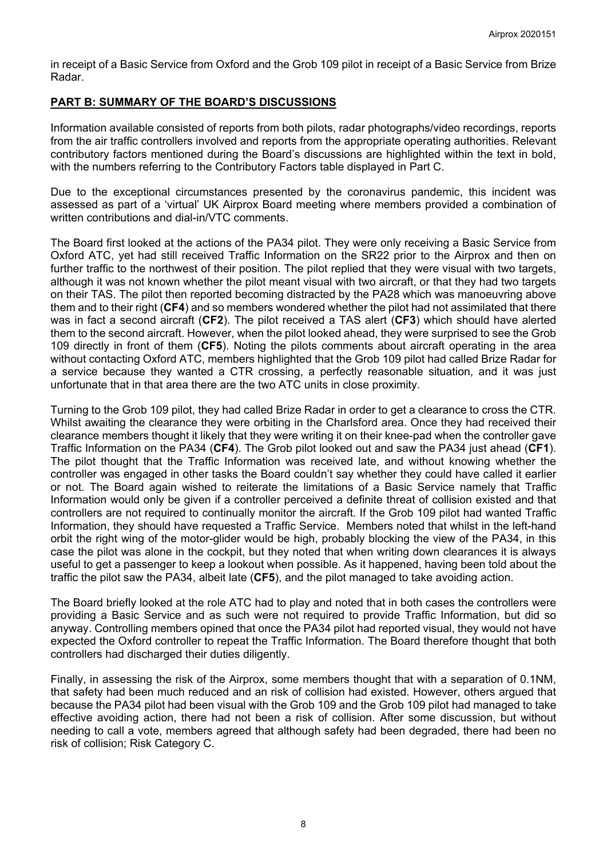in receipt of a Basic Service from Oxford and the Grob 109 pilot in receipt of a Basic Service from Brize Radar.

## **PART B: SUMMARY OF THE BOARD'S DISCUSSIONS**

Information available consisted of reports from both pilots, radar photographs/video recordings, reports from the air traffic controllers involved and reports from the appropriate operating authorities. Relevant contributory factors mentioned during the Board's discussions are highlighted within the text in bold, with the numbers referring to the Contributory Factors table displayed in Part C.

Due to the exceptional circumstances presented by the coronavirus pandemic, this incident was assessed as part of a 'virtual' UK Airprox Board meeting where members provided a combination of written contributions and dial-in/VTC comments.

The Board first looked at the actions of the PA34 pilot. They were only receiving a Basic Service from Oxford ATC, yet had still received Traffic Information on the SR22 prior to the Airprox and then on further traffic to the northwest of their position. The pilot replied that they were visual with two targets, although it was not known whether the pilot meant visual with two aircraft, or that they had two targets on their TAS. The pilot then reported becoming distracted by the PA28 which was manoeuvring above them and to their right (**CF4**) and so members wondered whether the pilot had not assimilated that there was in fact a second aircraft (**CF2**). The pilot received a TAS alert (**CF3**) which should have alerted them to the second aircraft. However, when the pilot looked ahead, they were surprised to see the Grob 109 directly in front of them (**CF5**). Noting the pilots comments about aircraft operating in the area without contacting Oxford ATC, members highlighted that the Grob 109 pilot had called Brize Radar for a service because they wanted a CTR crossing, a perfectly reasonable situation, and it was just unfortunate that in that area there are the two ATC units in close proximity.

Turning to the Grob 109 pilot, they had called Brize Radar in order to get a clearance to cross the CTR. Whilst awaiting the clearance they were orbiting in the Charlsford area. Once they had received their clearance members thought it likely that they were writing it on their knee-pad when the controller gave Traffic Information on the PA34 (**CF4**). The Grob pilot looked out and saw the PA34 just ahead (**CF1**). The pilot thought that the Traffic Information was received late, and without knowing whether the controller was engaged in other tasks the Board couldn't say whether they could have called it earlier or not. The Board again wished to reiterate the limitations of a Basic Service namely that Traffic Information would only be given if a controller perceived a definite threat of collision existed and that controllers are not required to continually monitor the aircraft. If the Grob 109 pilot had wanted Traffic Information, they should have requested a Traffic Service. Members noted that whilst in the left-hand orbit the right wing of the motor-glider would be high, probably blocking the view of the PA34, in this case the pilot was alone in the cockpit, but they noted that when writing down clearances it is always useful to get a passenger to keep a lookout when possible. As it happened, having been told about the traffic the pilot saw the PA34, albeit late (**CF5**), and the pilot managed to take avoiding action.

The Board briefly looked at the role ATC had to play and noted that in both cases the controllers were providing a Basic Service and as such were not required to provide Traffic Information, but did so anyway. Controlling members opined that once the PA34 pilot had reported visual, they would not have expected the Oxford controller to repeat the Traffic Information. The Board therefore thought that both controllers had discharged their duties diligently.

Finally, in assessing the risk of the Airprox, some members thought that with a separation of 0.1NM, that safety had been much reduced and an risk of collision had existed. However, others argued that because the PA34 pilot had been visual with the Grob 109 and the Grob 109 pilot had managed to take effective avoiding action, there had not been a risk of collision. After some discussion, but without needing to call a vote, members agreed that although safety had been degraded, there had been no risk of collision; Risk Category C.